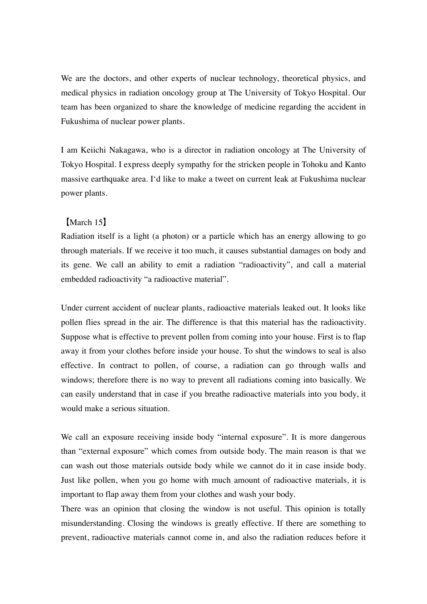We are the doctors, and other experts of nuclear technology, theoretical physics, and medical physics in radiation oncology group at The University of Tokyo Hospital. Our team has been organized to share the knowledge of medicine regarding the accident in Fukushima of nuclear power plants.

I am Keiichi Nakagawa, who is a director in radiation oncology at The University of Tokyo Hospital. I express deeply sympathy for the stricken people in Tohoku and Kanto massive earthquake area. I'd like to make a tweet on current leak at Fukushima nuclear power plants.

## 【March 15】

Radiation itself is a light (a photon) or a particle which has an energy allowing to go through materials. If we receive it too much, it causes substantial damages on body and its gene. We call an ability to emit a radiation "radioactivity", and call a material embedded radioactivity "a radioactive material".

Under current accident of nuclear plants, radioactive materials leaked out. It looks like pollen flies spread in the air. The difference is that this material has the radioactivity. Suppose what is effective to prevent pollen from coming into your house. First is to flap away it from your clothes before inside your house. To shut the windows to seal is also effective. In contract to pollen, of course, a radiation can go through walls and windows; therefore there is no way to prevent all radiations coming into basically. We can easily understand that in case if you breathe radioactive materials into you body, it would make a serious situation.

We call an exposure receiving inside body "internal exposure". It is more dangerous than "external exposure" which comes from outside body. The main reason is that we can wash out those materials outside body while we cannot do it in case inside body. Just like pollen, when you go home with much amount of radioactive materials, it is important to flap away them from your clothes and wash your body.

There was an opinion that closing the window is not useful. This opinion is totally misunderstanding. Closing the windows is greatly effective. If there are something to prevent, radioactive materials cannot come in, and also the radiation reduces before it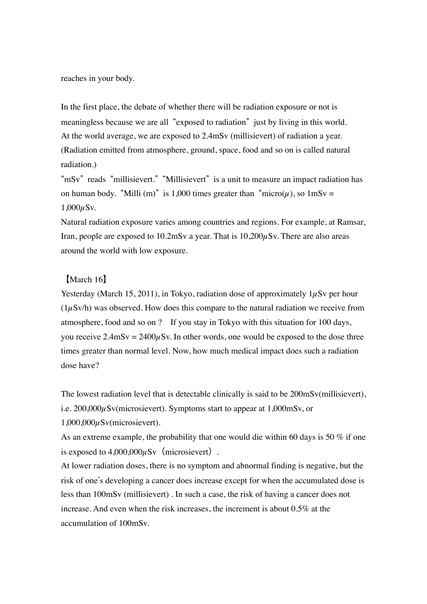reaches in your body.

In the first place, the debate of whether there will be radiation exposure or not is meaningless because we are all "exposed to radiation" just by living in this world. At the world average, we are exposed to 2.4mSv (millisievert) of radiation a year. (Radiation emitted from atmosphere, ground, space, food and so on is called natural radiation.)

"mSv" reads "millisievert." "Millisievert" is a unit to measure an impact radiation has on human body. "Milli (m)" is 1,000 times greater than "micro( $\mu$ ), so  $1 \text{mSv} =$  $1,000 \mu Sv.$ 

Natural radiation exposure varies among countries and regions. For example, at Ramsar, Iran, people are exposed to  $10.2$ mSv a year. That is  $10,200 \mu Sv$ . There are also areas around the world with low exposure.

## 【March 16】

Yesterday (March 15, 2011), in Tokyo, radiation dose of approximately  $1\mu Sv$  per hour  $(1\mu Sv/h)$  was observed. How does this compare to the natural radiation we receive from atmosphere, food and so on ? If you stay in Tokyo with this situation for 100 days, you receive  $2.4 \text{mSv} = 2400 \mu \text{Sv}$ . In other words, one would be exposed to the dose three times greater than normal level. Now, how much medical impact does such a radiation dose have?

The lowest radiation level that is detectable clinically is said to be 200mSv(millisievert), i.e. 200,000µSv(microsievert). Symptoms start to appear at 1,000mSv, or 1,000,000µSv(microsievert).

As an extreme example, the probability that one would die within 60 days is 50 % if one is exposed to  $4.000,000uSv$  (microsievert).

At lower radiation doses, there is no symptom and abnormal finding is negative, but the risk of one's developing a cancer does increase except for when the accumulated dose is less than 100mSv (millisievert) . In such a case, the risk of having a cancer does not increase. And even when the risk increases, the increment is about 0.5% at the accumulation of 100mSv.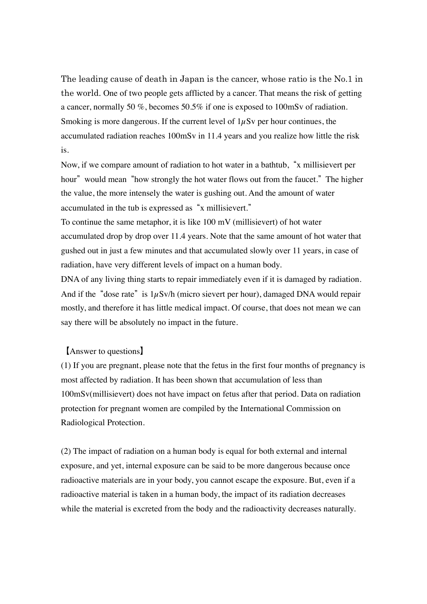The leading cause of death in Japan is the cancer, whose ratio is the No.1 in the world. One of two people gets afflicted by a cancer. That means the risk of getting a cancer, normally 50 %, becomes 50.5% if one is exposed to 100mSv of radiation. Smoking is more dangerous. If the current level of  $1\mu$ Sv per hour continues, the accumulated radiation reaches 100mSv in 11.4 years and you realize how little the risk is.

Now, if we compare amount of radiation to hot water in a bathtub, "x millisievert per hour" would mean "how strongly the hot water flows out from the faucet." The higher the value, the more intensely the water is gushing out. And the amount of water accumulated in the tub is expressed as "x millisievert."

To continue the same metaphor, it is like 100 mV (millisievert) of hot water accumulated drop by drop over 11.4 years. Note that the same amount of hot water that gushed out in just a few minutes and that accumulated slowly over 11 years, in case of radiation, have very different levels of impact on a human body.

DNA of any living thing starts to repair immediately even if it is damaged by radiation. And if the "dose rate" is  $1\mu Sv/h$  (micro sievert per hour), damaged DNA would repair mostly, and therefore it has little medical impact. Of course, that does not mean we can say there will be absolutely no impact in the future.

## 【Answer to questions】

(1) If you are pregnant, please note that the fetus in the first four months of pregnancy is most affected by radiation. It has been shown that accumulation of less than 100mSv(millisievert) does not have impact on fetus after that period. Data on radiation protection for pregnant women are compiled by the International Commission on Radiological Protection.

(2) The impact of radiation on a human body is equal for both external and internal exposure, and yet, internal exposure can be said to be more dangerous because once radioactive materials are in your body, you cannot escape the exposure. But, even if a radioactive material is taken in a human body, the impact of its radiation decreases while the material is excreted from the body and the radioactivity decreases naturally.